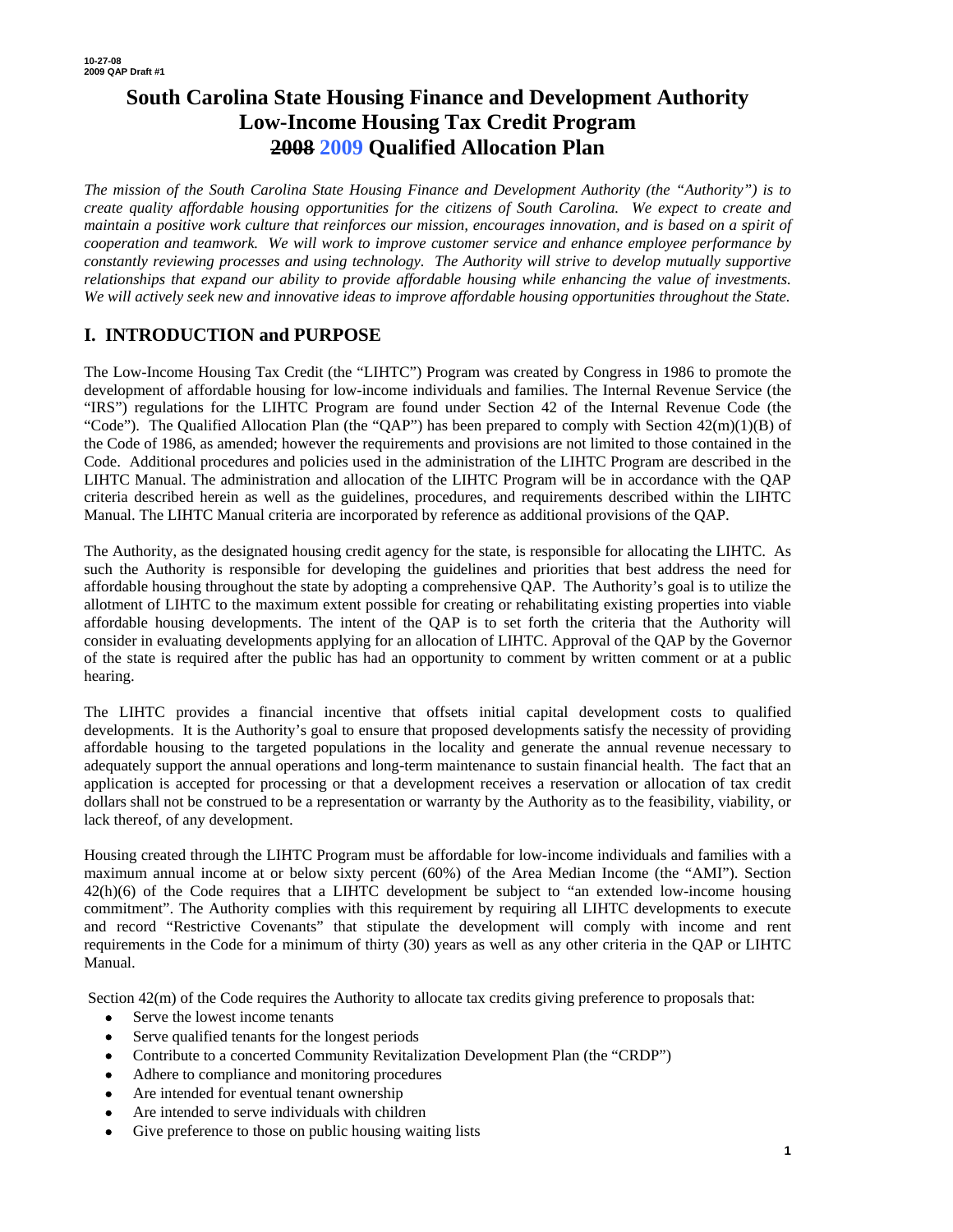# **South Carolina State Housing Finance and Development Authority Low-Income Housing Tax Credit Program 2008 2009 Qualified Allocation Plan**

*The mission of the South Carolina State Housing Finance and Development Authority (the "Authority") is to create quality affordable housing opportunities for the citizens of South Carolina. We expect to create and maintain a positive work culture that reinforces our mission, encourages innovation, and is based on a spirit of cooperation and teamwork. We will work to improve customer service and enhance employee performance by constantly reviewing processes and using technology. The Authority will strive to develop mutually supportive relationships that expand our ability to provide affordable housing while enhancing the value of investments. We will actively seek new and innovative ideas to improve affordable housing opportunities throughout the State.* 

# **I. INTRODUCTION and PURPOSE**

The Low-Income Housing Tax Credit (the "LIHTC") Program was created by Congress in 1986 to promote the development of affordable housing for low-income individuals and families. The Internal Revenue Service (the "IRS") regulations for the LIHTC Program are found under Section 42 of the Internal Revenue Code (the "Code"). The Qualified Allocation Plan (the "QAP") has been prepared to comply with Section  $42(m)(1)(B)$  of the Code of 1986, as amended; however the requirements and provisions are not limited to those contained in the Code. Additional procedures and policies used in the administration of the LIHTC Program are described in the LIHTC Manual. The administration and allocation of the LIHTC Program will be in accordance with the QAP criteria described herein as well as the guidelines, procedures, and requirements described within the LIHTC Manual. The LIHTC Manual criteria are incorporated by reference as additional provisions of the QAP.

The Authority, as the designated housing credit agency for the state, is responsible for allocating the LIHTC. As such the Authority is responsible for developing the guidelines and priorities that best address the need for affordable housing throughout the state by adopting a comprehensive QAP. The Authority's goal is to utilize the allotment of LIHTC to the maximum extent possible for creating or rehabilitating existing properties into viable affordable housing developments. The intent of the QAP is to set forth the criteria that the Authority will consider in evaluating developments applying for an allocation of LIHTC. Approval of the QAP by the Governor of the state is required after the public has had an opportunity to comment by written comment or at a public hearing.

The LIHTC provides a financial incentive that offsets initial capital development costs to qualified developments. It is the Authority's goal to ensure that proposed developments satisfy the necessity of providing affordable housing to the targeted populations in the locality and generate the annual revenue necessary to adequately support the annual operations and long-term maintenance to sustain financial health. The fact that an application is accepted for processing or that a development receives a reservation or allocation of tax credit dollars shall not be construed to be a representation or warranty by the Authority as to the feasibility, viability, or lack thereof, of any development.

Housing created through the LIHTC Program must be affordable for low-income individuals and families with a maximum annual income at or below sixty percent (60%) of the Area Median Income (the "AMI"). Section 42(h)(6) of the Code requires that a LIHTC development be subject to "an extended low-income housing commitment". The Authority complies with this requirement by requiring all LIHTC developments to execute and record "Restrictive Covenants" that stipulate the development will comply with income and rent requirements in the Code for a minimum of thirty (30) years as well as any other criteria in the QAP or LIHTC Manual.

Section 42(m) of the Code requires the Authority to allocate tax credits giving preference to proposals that:

- Serve the lowest income tenants
- Serve qualified tenants for the longest periods
- Contribute to a concerted Community Revitalization Development Plan (the "CRDP")
- Adhere to compliance and monitoring procedures
- Are intended for eventual tenant ownership
- Are intended to serve individuals with children
- Give preference to those on public housing waiting lists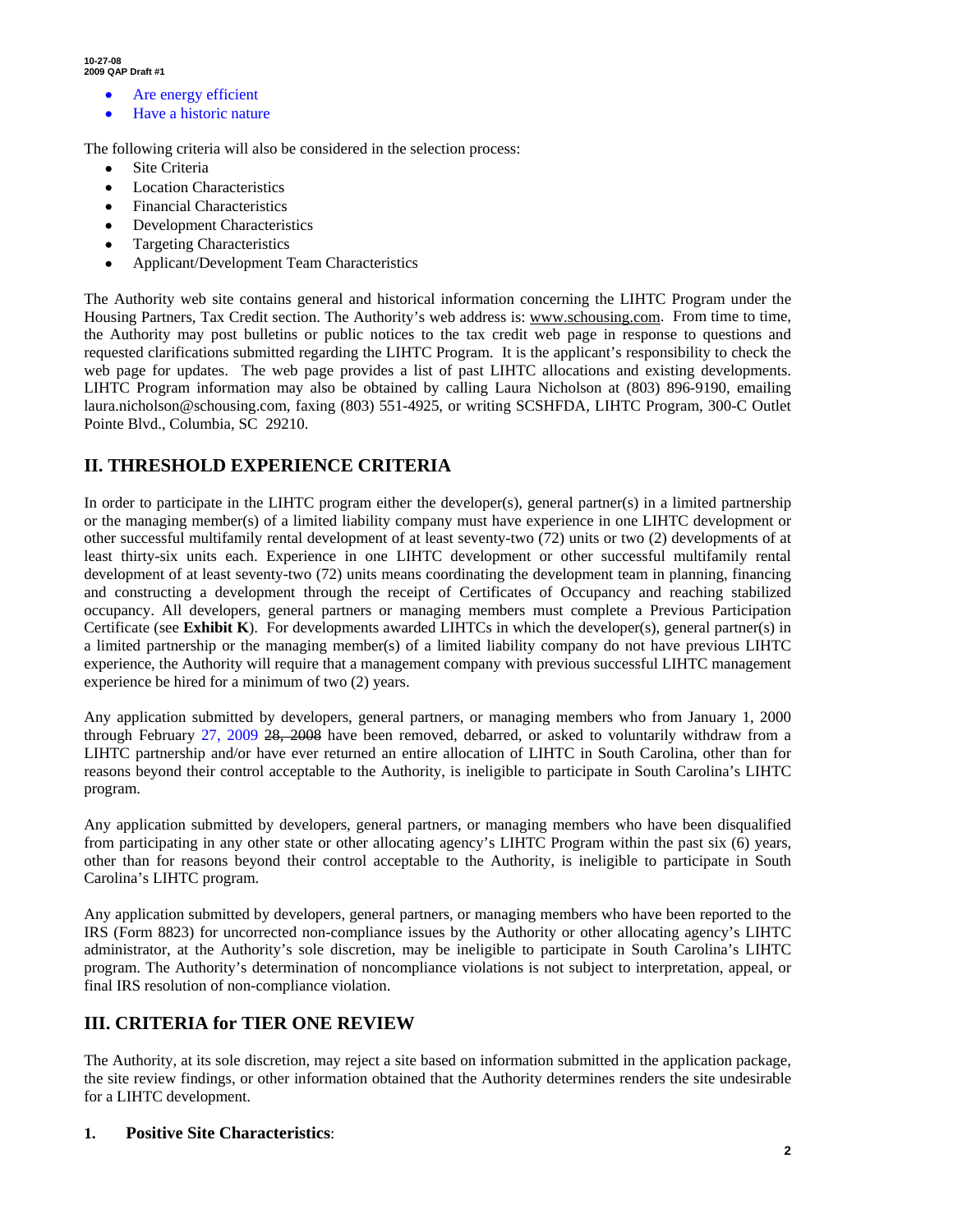- Are energy efficient
- Have a historic nature

The following criteria will also be considered in the selection process:

- Site Criteria
- **Location Characteristics**
- Financial Characteristics
- Development Characteristics
- Targeting Characteristics
- Applicant/Development Team Characteristics

The Authority web site contains general and historical information concerning the LIHTC Program under the Housing Partners, Tax Credit section. The Authority's web address is: www.schousing.com. From time to time, the Authority may post bulletins or public notices to the tax credit web page in response to questions and requested clarifications submitted regarding the LIHTC Program. It is the applicant's responsibility to check the web page for updates. The web page provides a list of past LIHTC allocations and existing developments. LIHTC Program information may also be obtained by calling Laura Nicholson at (803) 896-9190, emailing laura.nicholson@schousing.com, faxing (803) 551-4925, or writing SCSHFDA, LIHTC Program, 300-C Outlet Pointe Blvd., Columbia, SC 29210.

# **II. THRESHOLD EXPERIENCE CRITERIA**

In order to participate in the LIHTC program either the developer(s), general partner(s) in a limited partnership or the managing member(s) of a limited liability company must have experience in one LIHTC development or other successful multifamily rental development of at least seventy-two (72) units or two (2) developments of at least thirty-six units each. Experience in one LIHTC development or other successful multifamily rental development of at least seventy-two (72) units means coordinating the development team in planning, financing and constructing a development through the receipt of Certificates of Occupancy and reaching stabilized occupancy. All developers, general partners or managing members must complete a Previous Participation Certificate (see **Exhibit K**). For developments awarded LIHTCs in which the developer(s), general partner(s) in a limited partnership or the managing member(s) of a limited liability company do not have previous LIHTC experience, the Authority will require that a management company with previous successful LIHTC management experience be hired for a minimum of two (2) years.

Any application submitted by developers, general partners, or managing members who from January 1, 2000 through February 27, 2009 28, 2008 have been removed, debarred, or asked to voluntarily withdraw from a LIHTC partnership and/or have ever returned an entire allocation of LIHTC in South Carolina, other than for reasons beyond their control acceptable to the Authority, is ineligible to participate in South Carolina's LIHTC program.

Any application submitted by developers, general partners, or managing members who have been disqualified from participating in any other state or other allocating agency's LIHTC Program within the past six (6) years, other than for reasons beyond their control acceptable to the Authority, is ineligible to participate in South Carolina's LIHTC program.

Any application submitted by developers, general partners, or managing members who have been reported to the IRS (Form 8823) for uncorrected non-compliance issues by the Authority or other allocating agency's LIHTC administrator, at the Authority's sole discretion, may be ineligible to participate in South Carolina's LIHTC program. The Authority's determination of noncompliance violations is not subject to interpretation, appeal, or final IRS resolution of non-compliance violation.

## **III. CRITERIA for TIER ONE REVIEW**

The Authority, at its sole discretion, may reject a site based on information submitted in the application package, the site review findings, or other information obtained that the Authority determines renders the site undesirable for a LIHTC development.

### **1. Positive Site Characteristics**: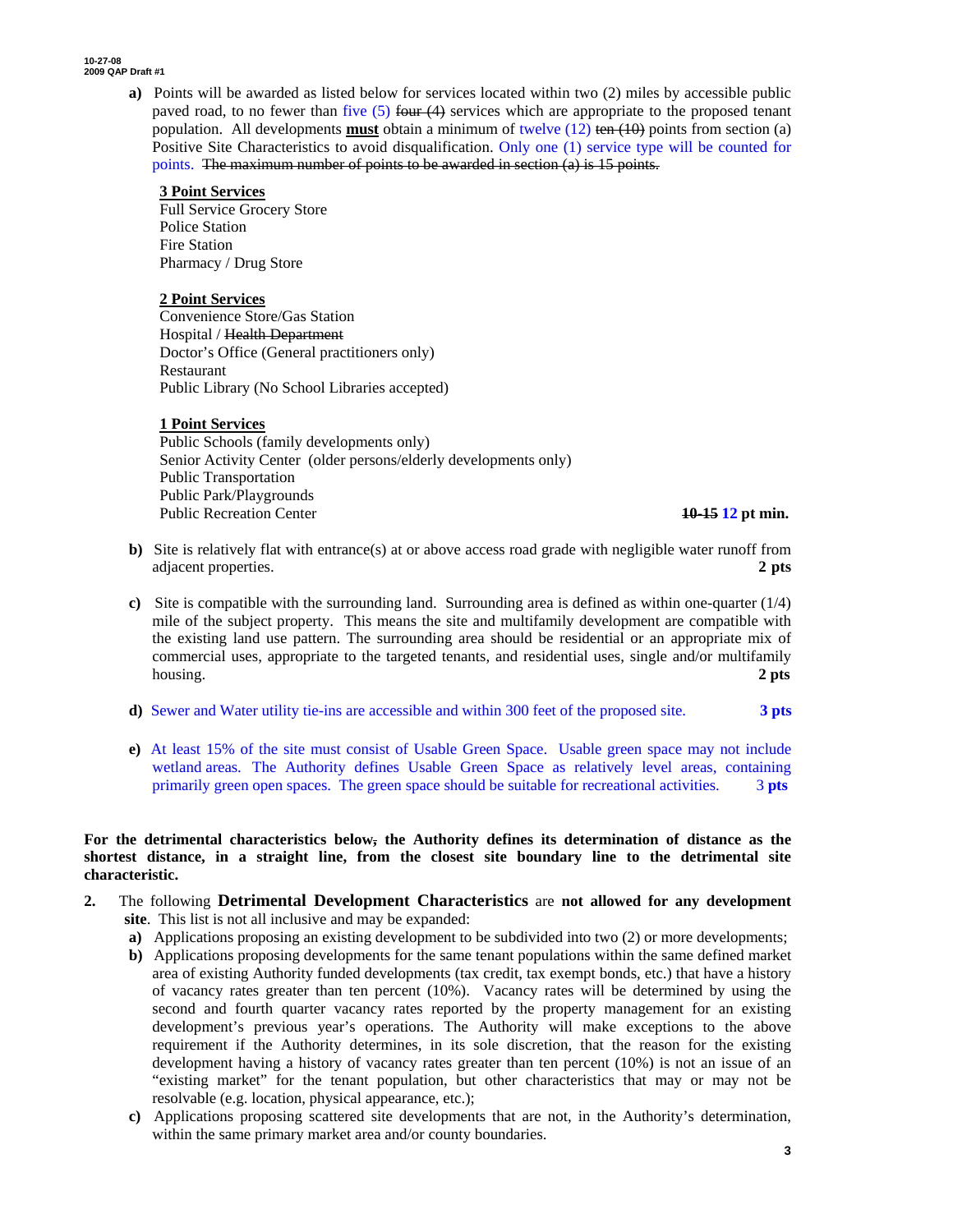> **a)** Points will be awarded as listed below for services located within two (2) miles by accessible public paved road, to no fewer than five  $(5)$  four  $(4)$  services which are appropriate to the proposed tenant population. All developments **must** obtain a minimum of twelve (12) ten (10) points from section (a) Positive Site Characteristics to avoid disqualification. Only one (1) service type will be counted for points. The maximum number of points to be awarded in section (a) is 15 points.

### **3 Point Services**

Full Service Grocery Store Police Station Fire Station Pharmacy / Drug Store

### **2 Point Services**

Convenience Store/Gas Station Hospital / Health Department Doctor's Office (General practitioners only) Restaurant Public Library (No School Libraries accepted)

### **1 Point Services**

Public Schools (family developments only) Senior Activity Center (older persons/elderly developments only) Public Transportation Public Park/Playgrounds Public Recreation Center **10-15 12 pt min.**

- **b**) Site is relatively flat with entrance(s) at or above access road grade with negligible water runoff from adjacent properties. **2 pts**
- **c)** Site is compatible with the surrounding land. Surrounding area is defined as within one-quarter (1/4) mile of the subject property. This means the site and multifamily development are compatible with the existing land use pattern. The surrounding area should be residential or an appropriate mix of commercial uses, appropriate to the targeted tenants, and residential uses, single and/or multifamily housing. **2 pts**
- **d)** Sewer and Water utility tie-ins are accessible and within 300 feet of the proposed site. **3 pts**
- **e)** At least 15% of the site must consist of Usable Green Space. Usable green space may not include wetland areas. The Authority defines Usable Green Space as relatively level areas, containing primarily green open spaces. The green space should be suitable for recreational activities. 3 **pts**

### **For the detrimental characteristics below, the Authority defines its determination of distance as the shortest distance, in a straight line, from the closest site boundary line to the detrimental site characteristic.**

- **2.** The following **Detrimental Development Characteristics** are **not allowed for any development site**. This list is not all inclusive and may be expanded:
	- **a)** Applications proposing an existing development to be subdivided into two (2) or more developments;
	- **b)** Applications proposing developments for the same tenant populations within the same defined market area of existing Authority funded developments (tax credit, tax exempt bonds, etc.) that have a history of vacancy rates greater than ten percent (10%). Vacancy rates will be determined by using the second and fourth quarter vacancy rates reported by the property management for an existing development's previous year's operations. The Authority will make exceptions to the above requirement if the Authority determines, in its sole discretion, that the reason for the existing development having a history of vacancy rates greater than ten percent (10%) is not an issue of an "existing market" for the tenant population, but other characteristics that may or may not be resolvable (e.g. location, physical appearance, etc.);
	- **c)** Applications proposing scattered site developments that are not, in the Authority's determination, within the same primary market area and/or county boundaries.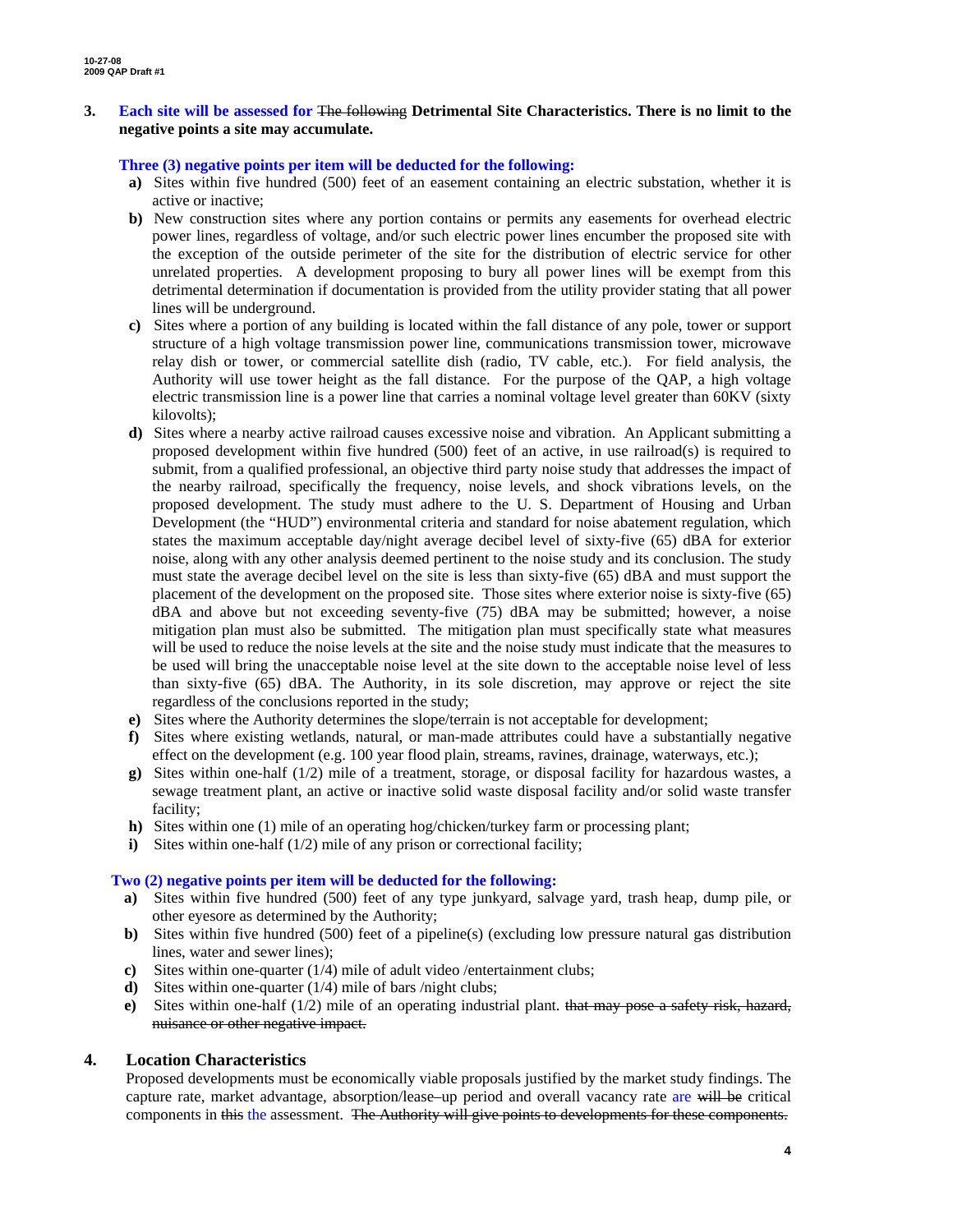### **3. Each site will be assessed for** The following **Detrimental Site Characteristics. There is no limit to the negative points a site may accumulate.**

### **Three (3) negative points per item will be deducted for the following:**

- **a)** Sites within five hundred (500) feet of an easement containing an electric substation, whether it is active or inactive;
- **b)** New construction sites where any portion contains or permits any easements for overhead electric power lines, regardless of voltage, and/or such electric power lines encumber the proposed site with the exception of the outside perimeter of the site for the distribution of electric service for other unrelated properties. A development proposing to bury all power lines will be exempt from this detrimental determination if documentation is provided from the utility provider stating that all power lines will be underground.
- **c)** Sites where a portion of any building is located within the fall distance of any pole, tower or support structure of a high voltage transmission power line, communications transmission tower, microwave relay dish or tower, or commercial satellite dish (radio, TV cable, etc.). For field analysis, the Authority will use tower height as the fall distance. For the purpose of the QAP, a high voltage electric transmission line is a power line that carries a nominal voltage level greater than 60KV (sixty kilovolts);
- **d)** Sites where a nearby active railroad causes excessive noise and vibration. An Applicant submitting a proposed development within five hundred (500) feet of an active, in use railroad(s) is required to submit, from a qualified professional, an objective third party noise study that addresses the impact of the nearby railroad, specifically the frequency, noise levels, and shock vibrations levels, on the proposed development. The study must adhere to the U. S. Department of Housing and Urban Development (the "HUD") environmental criteria and standard for noise abatement regulation, which states the maximum acceptable day/night average decibel level of sixty-five (65) dBA for exterior noise, along with any other analysis deemed pertinent to the noise study and its conclusion. The study must state the average decibel level on the site is less than sixty-five (65) dBA and must support the placement of the development on the proposed site. Those sites where exterior noise is sixty-five (65) dBA and above but not exceeding seventy-five (75) dBA may be submitted; however, a noise mitigation plan must also be submitted. The mitigation plan must specifically state what measures will be used to reduce the noise levels at the site and the noise study must indicate that the measures to be used will bring the unacceptable noise level at the site down to the acceptable noise level of less than sixty-five (65) dBA. The Authority, in its sole discretion, may approve or reject the site regardless of the conclusions reported in the study;
- **e)** Sites where the Authority determines the slope/terrain is not acceptable for development;
- **f)** Sites where existing wetlands, natural, or man-made attributes could have a substantially negative effect on the development (e.g. 100 year flood plain, streams, ravines, drainage, waterways, etc.);
- **g)** Sites within one-half (1/2) mile of a treatment, storage, or disposal facility for hazardous wastes, a sewage treatment plant, an active or inactive solid waste disposal facility and/or solid waste transfer facility;
- **h)** Sites within one (1) mile of an operating hog/chicken/turkey farm or processing plant;
- **i**) Sites within one-half (1/2) mile of any prison or correctional facility;

### **Two (2) negative points per item will be deducted for the following:**

- **a)** Sites within five hundred (500) feet of any type junkyard, salvage yard, trash heap, dump pile, or other eyesore as determined by the Authority;
- **b**) Sites within five hundred (500) feet of a pipeline(s) (excluding low pressure natural gas distribution lines, water and sewer lines);
- **c)** Sites within one-quarter (1/4) mile of adult video /entertainment clubs;
- **d**) Sites within one-quarter (1/4) mile of bars /night clubs;
- **e)** Sites within one-half (1/2) mile of an operating industrial plant. that may pose a safety risk, hazard, nuisance or other negative impact.

### **4. Location Characteristics**

Proposed developments must be economically viable proposals justified by the market study findings. The capture rate, market advantage, absorption/lease–up period and overall vacancy rate are will be critical components in this the assessment. The Authority will give points to developments for these components.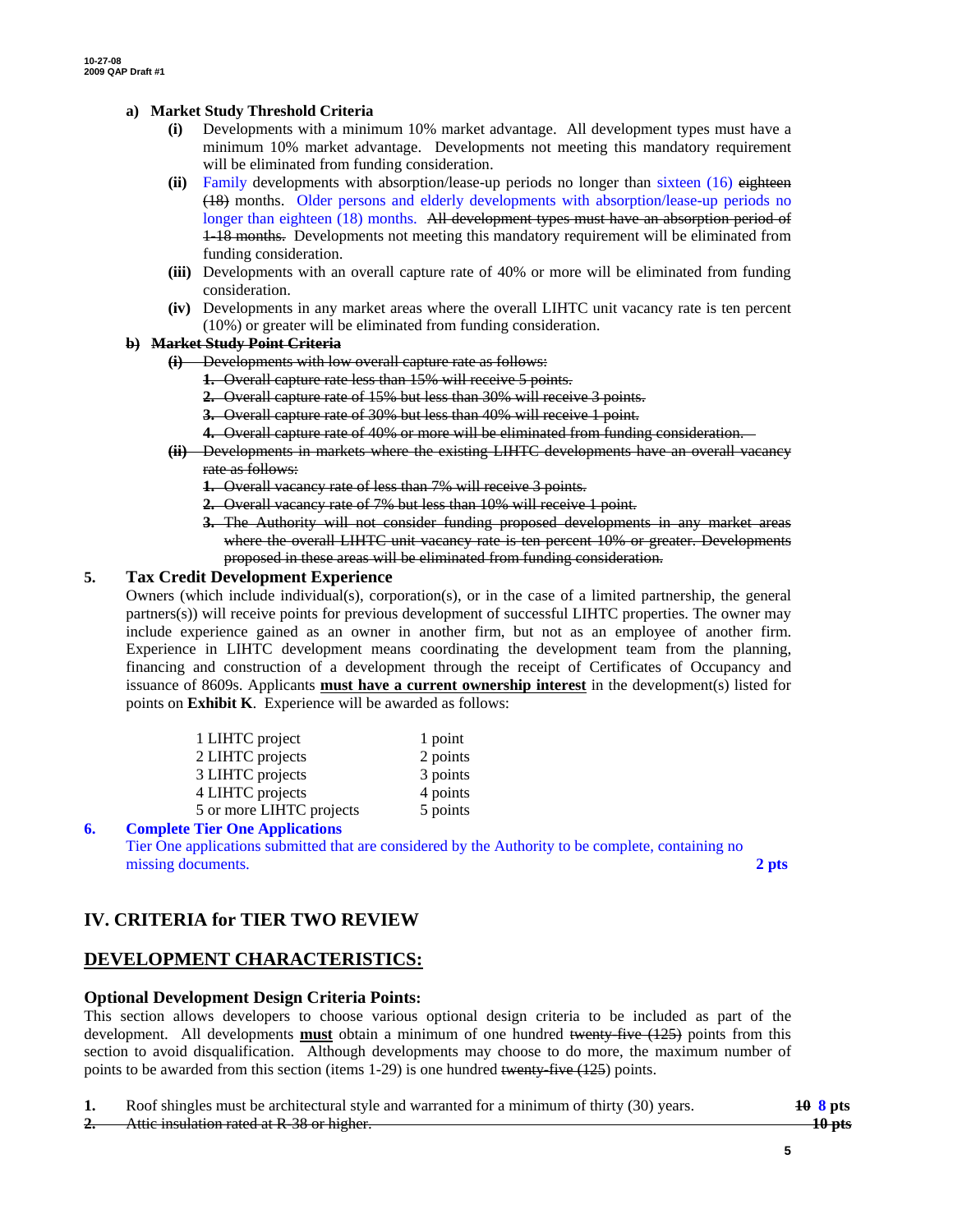### **a) Market Study Threshold Criteria**

- **(i)** Developments with a minimum 10% market advantage. All development types must have a minimum 10% market advantage. Developments not meeting this mandatory requirement will be eliminated from funding consideration.
- **(ii)** Family developments with absorption/lease-up periods no longer than sixteen (16) eighteen (18) months. Older persons and elderly developments with absorption/lease-up periods no longer than eighteen (18) months. All development types must have an absorption period of 1-18 months. Developments not meeting this mandatory requirement will be eliminated from funding consideration.
- **(iii)** Developments with an overall capture rate of 40% or more will be eliminated from funding consideration.
- **(iv)** Developments in any market areas where the overall LIHTC unit vacancy rate is ten percent (10%) or greater will be eliminated from funding consideration.

### **b) Market Study Point Criteria**

- **(i)** Developments with low overall capture rate as follows:
	- **1.** Overall capture rate less than 15% will receive 5 points.
	- **2.** Overall capture rate of 15% but less than 30% will receive 3 points.
	- **3.** Overall capture rate of 30% but less than 40% will receive 1 point.
	- **4.** Overall capture rate of 40% or more will be eliminated from funding consideration.
- **(ii)** Developments in markets where the existing LIHTC developments have an overall vacancy rate as follows:
	- **1.** Overall vacancy rate of less than 7% will receive 3 points.
	- **2.** Overall vacancy rate of 7% but less than 10% will receive 1 point.
	- **3.** The Authority will not consider funding proposed developments in any market areas where the overall LIHTC unit vacancy rate is ten percent 10% or greater. Developments proposed in these areas will be eliminated from funding consideration.

### **5. Tax Credit Development Experience**

Owners (which include individual(s), corporation(s), or in the case of a limited partnership, the general partners(s)) will receive points for previous development of successful LIHTC properties. The owner may include experience gained as an owner in another firm, but not as an employee of another firm. Experience in LIHTC development means coordinating the development team from the planning, financing and construction of a development through the receipt of Certificates of Occupancy and issuance of 8609s. Applicants **must have a current ownership interest** in the development(s) listed for points on **Exhibit K**. Experience will be awarded as follows:

| 1 LIHTC project          | 1 point  |
|--------------------------|----------|
| 2 LIHTC projects         | 2 points |
| 3 LIHTC projects         | 3 points |
| 4 LIHTC projects         | 4 points |
| 5 or more LIHTC projects | 5 points |
|                          |          |

### **6. Complete Tier One Applications** Tier One applications submitted that are considered by the Authority to be complete, containing no missing documents. **2 pts 2**

# **IV. CRITERIA for TIER TWO REVIEW**

# **DEVELOPMENT CHARACTERISTICS:**

### **Optional Development Design Criteria Points:**

This section allows developers to choose various optional design criteria to be included as part of the development. All developments **must** obtain a minimum of one hundred twenty-five (125) points from this section to avoid disqualification. Although developments may choose to do more, the maximum number of points to be awarded from this section (items 1-29) is one hundred twenty-five (125) points.

|    | Roof shingles must be architectural style and warranted for a minimum of thirty (30) years. | $10 \text{ s}$ pts |
|----|---------------------------------------------------------------------------------------------|--------------------|
|    | Attic inculation rated at $\overline{D}$ 38 or higher                                       | 10ntc              |
| z. | <del>Attic msulation rated at <b>K-</b>56 or inglier.</del>                                 | τν μω              |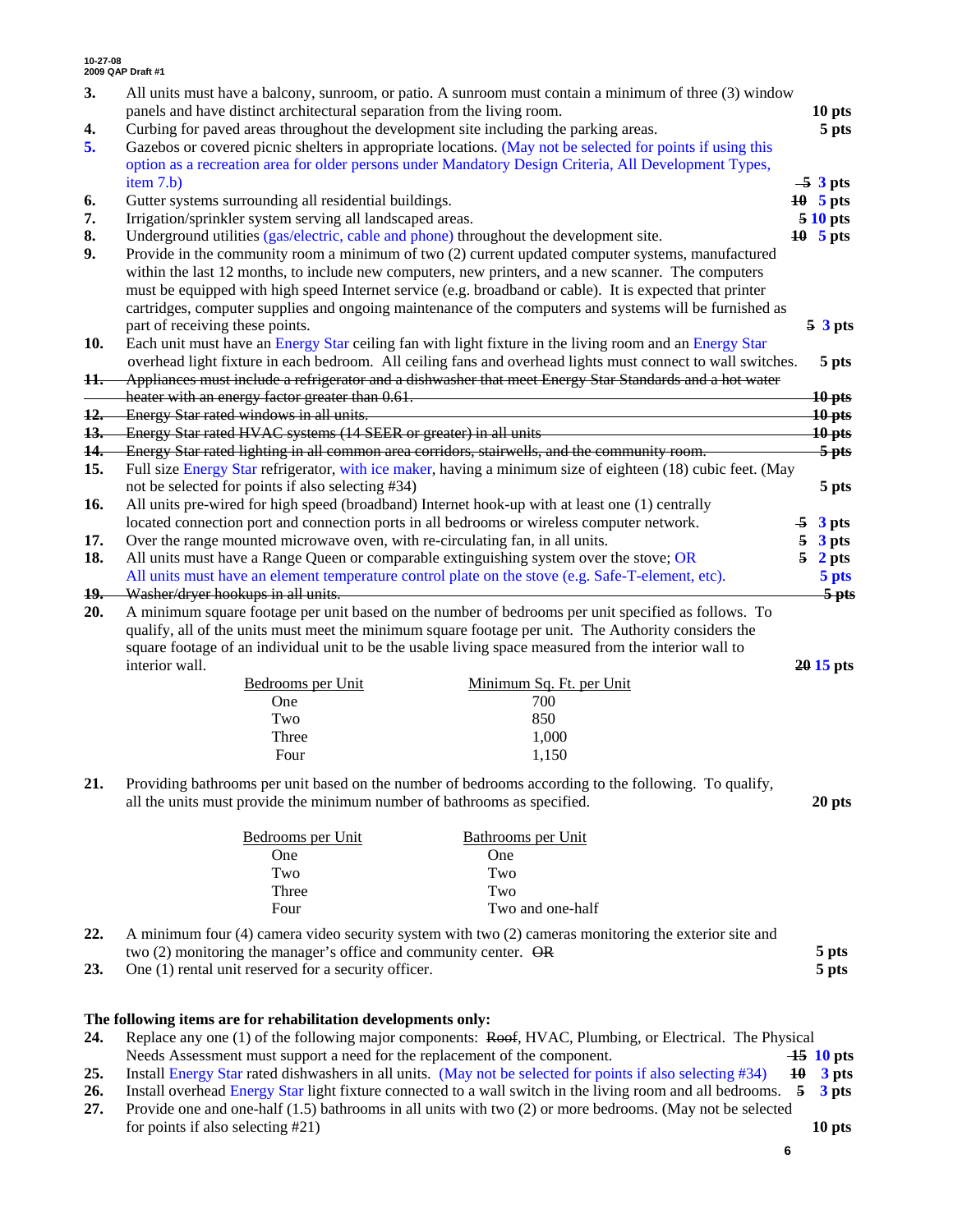| 3.                                                                                                       | All units must have a balcony, sunroom, or patio. A sunroom must contain a minimum of three (3) window                                                                                                        |                               |  |  |  |
|----------------------------------------------------------------------------------------------------------|---------------------------------------------------------------------------------------------------------------------------------------------------------------------------------------------------------------|-------------------------------|--|--|--|
|                                                                                                          | panels and have distinct architectural separation from the living room.                                                                                                                                       | 10 pts                        |  |  |  |
| 4.                                                                                                       | Curbing for paved areas throughout the development site including the parking areas.<br>5 pts                                                                                                                 |                               |  |  |  |
| 5.                                                                                                       | Gazebos or covered picnic shelters in appropriate locations. (May not be selected for points if using this                                                                                                    |                               |  |  |  |
|                                                                                                          | option as a recreation area for older persons under Mandatory Design Criteria, All Development Types,                                                                                                         |                               |  |  |  |
|                                                                                                          | item 7.b)                                                                                                                                                                                                     | $-5$ 3 pts                    |  |  |  |
| 6.                                                                                                       | Gutter systems surrounding all residential buildings.                                                                                                                                                         | $10$ 5 pts<br><b>5 10 pts</b> |  |  |  |
| 7.                                                                                                       | Irrigation/sprinkler system serving all landscaped areas.                                                                                                                                                     |                               |  |  |  |
| 8.                                                                                                       | Underground utilities (gas/electric, cable and phone) throughout the development site.<br>$10$ 5 pts                                                                                                          |                               |  |  |  |
| 9.                                                                                                       | Provide in the community room a minimum of two (2) current updated computer systems, manufactured                                                                                                             |                               |  |  |  |
|                                                                                                          | within the last 12 months, to include new computers, new printers, and a new scanner. The computers                                                                                                           |                               |  |  |  |
| must be equipped with high speed Internet service (e.g. broadband or cable). It is expected that printer |                                                                                                                                                                                                               |                               |  |  |  |
|                                                                                                          | cartridges, computer supplies and ongoing maintenance of the computers and systems will be furnished as                                                                                                       |                               |  |  |  |
|                                                                                                          | part of receiving these points.                                                                                                                                                                               | 53pts                         |  |  |  |
| 10.                                                                                                      | Each unit must have an Energy Star ceiling fan with light fixture in the living room and an Energy Star                                                                                                       |                               |  |  |  |
|                                                                                                          | overhead light fixture in each bedroom. All ceiling fans and overhead lights must connect to wall switches.                                                                                                   | 5 pts                         |  |  |  |
| 11.                                                                                                      | Appliances must include a refrigerator and a dishwasher that meet Energy Star Standards and a hot water                                                                                                       |                               |  |  |  |
|                                                                                                          | heater with an energy factor greater than 0.61.                                                                                                                                                               | $10p$ ts                      |  |  |  |
| 12.                                                                                                      | Energy Star rated windows in all units.                                                                                                                                                                       | $10p$ ts                      |  |  |  |
| 13.                                                                                                      | Energy Star rated HVAC systems (14 SEER or greater) in all units                                                                                                                                              | $10p$ ts                      |  |  |  |
| 14.                                                                                                      | Energy Star rated lighting in all common area corridors, stairwells, and the community room.                                                                                                                  | $\frac{5}{5}$ pts             |  |  |  |
| 15.                                                                                                      | Full size Energy Star refrigerator, with ice maker, having a minimum size of eighteen (18) cubic feet. (May                                                                                                   |                               |  |  |  |
|                                                                                                          | not be selected for points if also selecting #34)                                                                                                                                                             | 5 pts                         |  |  |  |
| 16.                                                                                                      | All units pre-wired for high speed (broadband) Internet hook-up with at least one (1) centrally                                                                                                               |                               |  |  |  |
|                                                                                                          | located connection port and connection ports in all bedrooms or wireless computer network.                                                                                                                    | 3 pts<br>-5                   |  |  |  |
| 17.                                                                                                      | Over the range mounted microwave oven, with re-circulating fan, in all units.                                                                                                                                 | 5<br>3 pts                    |  |  |  |
| 18.                                                                                                      | All units must have a Range Queen or comparable extinguishing system over the stove; OR                                                                                                                       | 5<br>2 pts                    |  |  |  |
|                                                                                                          | All units must have an element temperature control plate on the stove (e.g. Safe-T-element, etc).                                                                                                             | 5 pts                         |  |  |  |
| 19.                                                                                                      | Washer/dryer hookups in all units.                                                                                                                                                                            | $\frac{5}{5}$ pts             |  |  |  |
| 20.                                                                                                      | A minimum square footage per unit based on the number of bedrooms per unit specified as follows. To                                                                                                           |                               |  |  |  |
|                                                                                                          | qualify, all of the units must meet the minimum square footage per unit. The Authority considers the<br>square footage of an individual unit to be the usable living space measured from the interior wall to |                               |  |  |  |
|                                                                                                          | interior wall.                                                                                                                                                                                                | $2015$ pts                    |  |  |  |
|                                                                                                          | Minimum Sq. Ft. per Unit<br>Bedrooms per Unit                                                                                                                                                                 |                               |  |  |  |
|                                                                                                          | 700<br>One                                                                                                                                                                                                    |                               |  |  |  |
|                                                                                                          | Two<br>850                                                                                                                                                                                                    |                               |  |  |  |
|                                                                                                          | Three<br>1,000                                                                                                                                                                                                |                               |  |  |  |
|                                                                                                          | Four<br>1,150                                                                                                                                                                                                 |                               |  |  |  |
|                                                                                                          |                                                                                                                                                                                                               |                               |  |  |  |
| 21.                                                                                                      | Providing bathrooms per unit based on the number of bedrooms according to the following. To qualify,                                                                                                          |                               |  |  |  |
|                                                                                                          | all the units must provide the minimum number of bathrooms as specified.                                                                                                                                      | 20 pts                        |  |  |  |
|                                                                                                          |                                                                                                                                                                                                               |                               |  |  |  |
|                                                                                                          | Bedrooms per Unit<br>Bathrooms per Unit                                                                                                                                                                       |                               |  |  |  |
|                                                                                                          | One<br>One                                                                                                                                                                                                    |                               |  |  |  |
|                                                                                                          | Two<br>Two                                                                                                                                                                                                    |                               |  |  |  |
|                                                                                                          | Three<br>Two                                                                                                                                                                                                  |                               |  |  |  |
|                                                                                                          | Four<br>Two and one-half                                                                                                                                                                                      |                               |  |  |  |
| 22.                                                                                                      | A minimum four (4) camera video security system with two (2) cameras monitoring the exterior site and                                                                                                         |                               |  |  |  |
|                                                                                                          | two $(2)$ monitoring the manager's office and community center. $\overrightarrow{OR}$                                                                                                                         | 5 pts                         |  |  |  |
| 23.                                                                                                      | One (1) rental unit reserved for a security officer.                                                                                                                                                          | 5 pts                         |  |  |  |
|                                                                                                          |                                                                                                                                                                                                               |                               |  |  |  |
|                                                                                                          |                                                                                                                                                                                                               |                               |  |  |  |
|                                                                                                          | The following items are for rehabilitation developments only:                                                                                                                                                 |                               |  |  |  |

- **24.** Replace any one (1) of the following major components: Roof, HVAC, Plumbing, or Electrical. The Physical Needs Assessment must support a need for the replacement of the component. **15 10 pts**
- **25.** Install Energy Star rated dishwashers in all units. (May not be selected for points if also selecting #34) **10 3 pts**
- **26.** Install overhead Energy Star light fixture connected to a wall switch in the living room and all bedrooms. **5 3 pts 27.** Provide one and one-half (1.5) bathrooms in all units with two (2) or more bedrooms. (May not be selected
- for points if also selecting #21) **10 pts**

**6**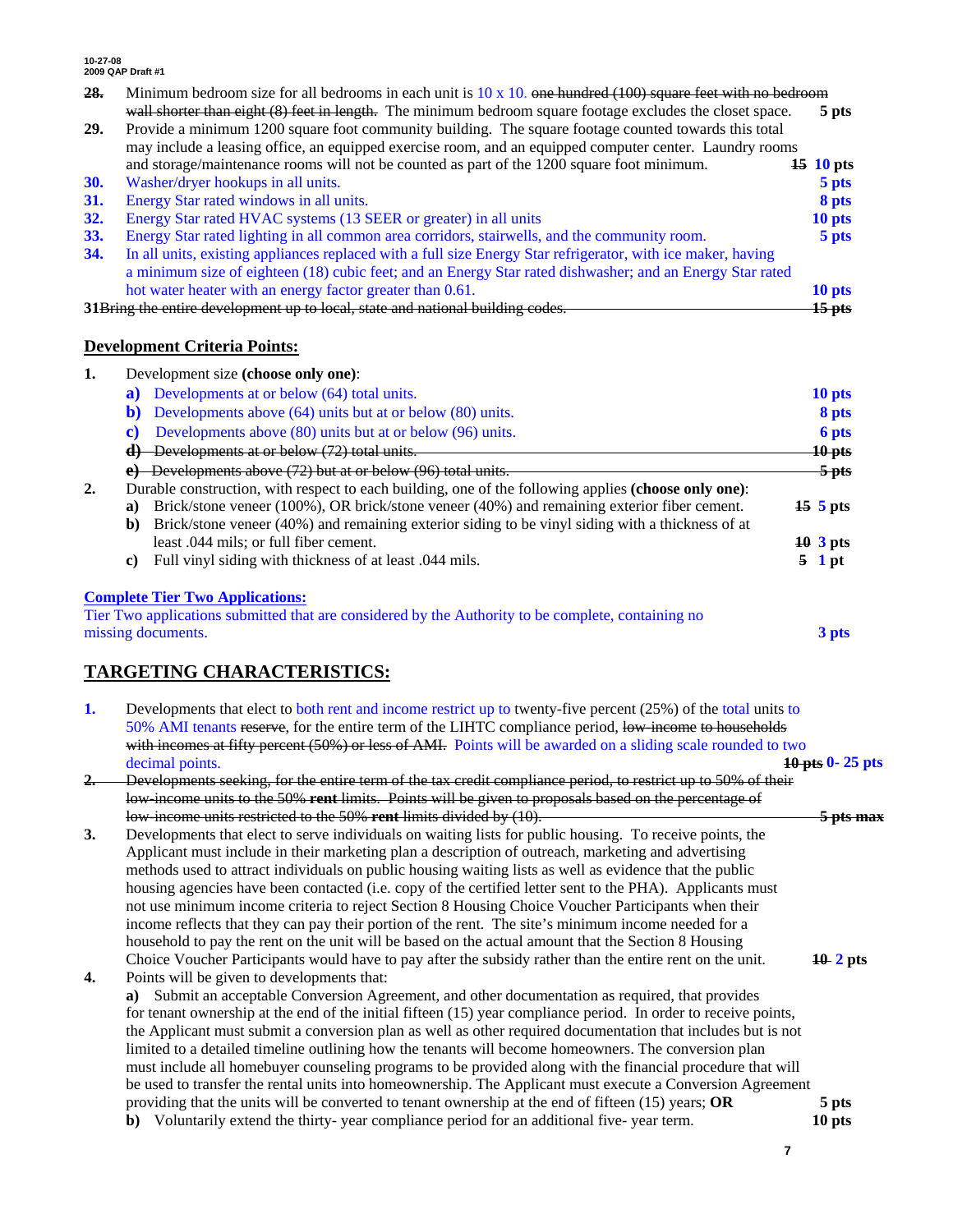- **28.** Minimum bedroom size for all bedrooms in each unit is 10 x 10. one hundred (100) square feet with no bedroom wall shorter than eight (8) feet in length. The minimum bedroom square footage excludes the closet space. **5 pts**
- **29.** Provide a minimum 1200 square foot community building. The square footage counted towards this total may include a leasing office, an equipped exercise room, and an equipped computer center. Laundry rooms and storage/maintenance rooms will not be counted as part of the 1200 square foot minimum. **15 10 pts 30.** Washer/dryer hookups in all units. **5 pts 31.** Energy Star rated windows in all units. **8 pts**
- 
- **32.** Energy Star rated HVAC systems (13 SEER or greater) in all units **10 pts**
- **33.** Energy Star rated lighting in all common area corridors, stairwells, and the community room. **5 pts 34.** In all units, existing appliances replaced with a full size Energy Star refrigerator, with ice maker, having a minimum size of eighteen (18) cubic feet; and an Energy Star rated dishwasher; and an Energy Star rated hot water heater with an energy factor greater than 0.61. **10 pts 31**Bring the entire development up to local, state and national building codes. **15 pts**

## **Development Criteria Points:**

| 1. | Development size (choose only one):                                                                    |                              |
|----|--------------------------------------------------------------------------------------------------------|------------------------------|
|    | Developments at or below (64) total units.<br>a)                                                       | 10 pts                       |
|    | Developments above (64) units but at or below (80) units.<br>b)                                        | 8 pts                        |
|    | Developments above (80) units but at or below (96) units.<br>C)                                        | 6 pts                        |
|    | $\left  \cdot \right $ Developments at or below (72) total units.                                      | $10$ pts                     |
|    | e) Developments above $(72)$ but at or below $(96)$ total units.                                       | $\frac{5}{5}$ pts            |
| 2. | Durable construction, with respect to each building, one of the following applies (choose only one):   |                              |
|    | Brick/stone veneer (100%), OR brick/stone veneer (40%) and remaining exterior fiber cement.<br>a)      | $15 \text{ } 5 \text{ }$ pts |
|    | Brick/stone veneer (40%) and remaining exterior siding to be vinyl siding with a thickness of at<br>b) |                              |
|    | least .044 mils; or full fiber cement.                                                                 | $10 \text{ } 3 \text{ pts}$  |
|    | Full vinyl siding with thickness of at least 0.044 mils.<br>C)                                         | 5.<br>1 pt                   |
|    | <b>Complete Tier Two Applications:</b>                                                                 |                              |
|    | Tier Two applications submitted that are considered by the Authority to be complete, containing no     |                              |

missing documents. **3 pts**

# **TARGETING CHARACTERISTICS:**

| 1. | Developments that elect to both rent and income restrict up to twenty-five percent $(25%)$ of the total units to<br>50% AMI tenants reserve, for the entire term of the LIHTC compliance period, low income to households |                 |
|----|---------------------------------------------------------------------------------------------------------------------------------------------------------------------------------------------------------------------------|-----------------|
|    | with incomes at fifty percent (50%) or less of AMI. Points will be awarded on a sliding scale rounded to two                                                                                                              |                 |
|    | decimal points.                                                                                                                                                                                                           | 10 pts 0-25 pts |
| 2. | Developments seeking, for the entire term of the tax credit compliance period, to restrict up to 50% of their                                                                                                             |                 |
|    |                                                                                                                                                                                                                           |                 |
|    | low income units to the 50% rent limits. Points will be given to proposals based on the percentage of                                                                                                                     |                 |
|    | low income units restricted to the 50% rent limits divided by (10).                                                                                                                                                       |                 |
| 3. | Developments that elect to serve individuals on waiting lists for public housing. To receive points, the                                                                                                                  |                 |
|    | Applicant must include in their marketing plan a description of outreach, marketing and advertising                                                                                                                       |                 |
|    | methods used to attract individuals on public housing waiting lists as well as evidence that the public                                                                                                                   |                 |
|    | housing agencies have been contacted (i.e. copy of the certified letter sent to the PHA). Applicants must                                                                                                                 |                 |
|    | not use minimum income criteria to reject Section 8 Housing Choice Voucher Participants when their                                                                                                                        |                 |
|    | income reflects that they can pay their portion of the rent. The site's minimum income needed for a                                                                                                                       |                 |
|    | household to pay the rent on the unit will be based on the actual amount that the Section 8 Housing                                                                                                                       |                 |
|    | Choice Voucher Participants would have to pay after the subsidy rather than the entire rent on the unit.                                                                                                                  |                 |
|    |                                                                                                                                                                                                                           | $10\ 2$ pts     |
| 4. | Points will be given to developments that:                                                                                                                                                                                |                 |
|    | Submit an acceptable Conversion Agreement, and other documentation as required, that provides<br>a)                                                                                                                       |                 |
|    | for tenant ownership at the end of the initial fifteen (15) year compliance period. In order to receive points,                                                                                                           |                 |
|    | the Applicant must submit a conversion plan as well as other required documentation that includes but is not                                                                                                              |                 |
|    | limited to a detailed timeline outlining how the tenants will become homeowners. The conversion plan                                                                                                                      |                 |
|    | must include all homebuyer counseling programs to be provided along with the financial procedure that will                                                                                                                |                 |
|    | be used to transfer the rental units into homeownership. The Applicant must execute a Conversion Agreement                                                                                                                |                 |
|    | providing that the units will be converted to tenant ownership at the end of fifteen $(15)$ years; OR                                                                                                                     | 5 pts           |
|    | b) Voluntarily extend the thirty-year compliance period for an additional five-year term.                                                                                                                                 | 10 pts          |
|    |                                                                                                                                                                                                                           |                 |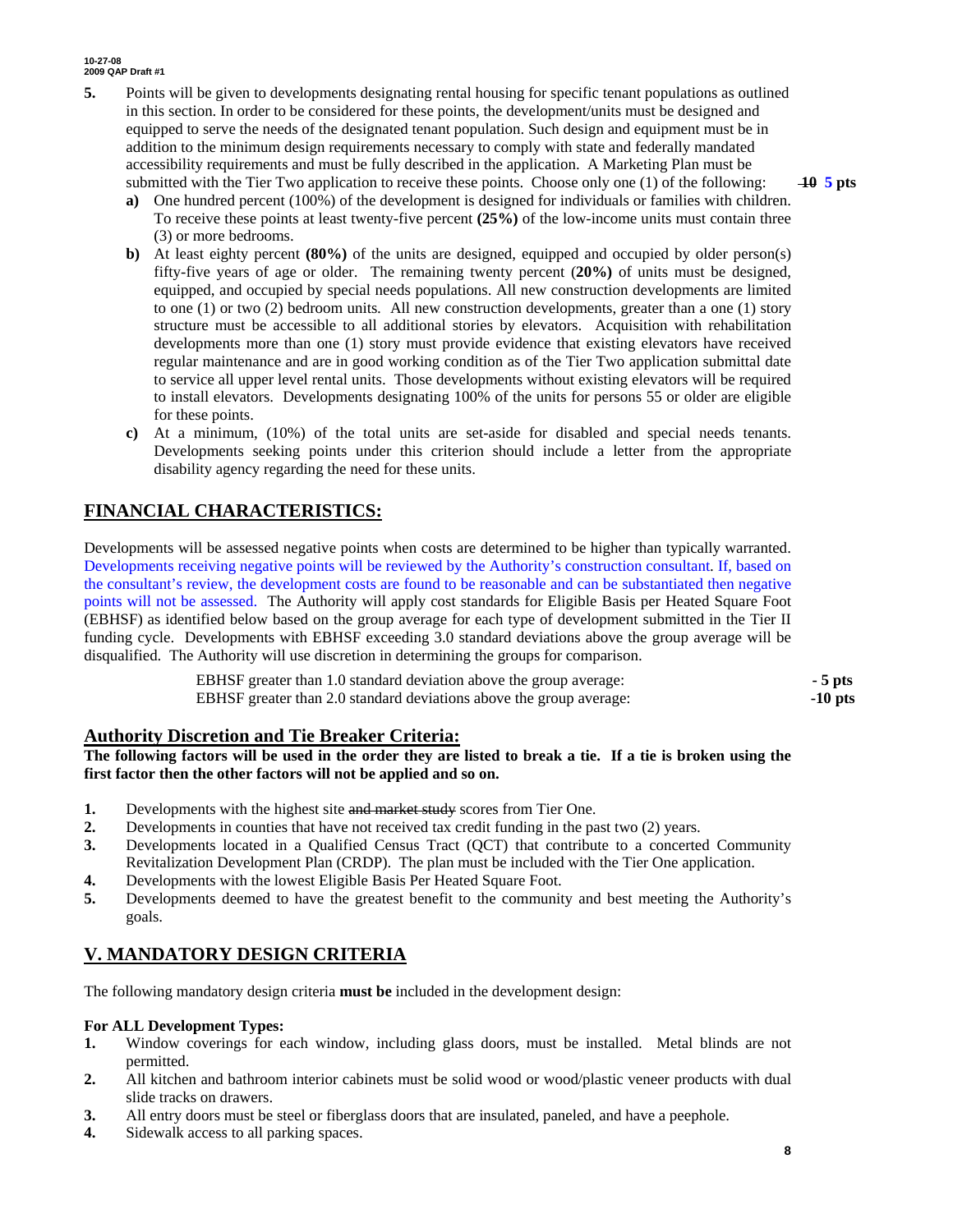- **5.** Points will be given to developments designating rental housing for specific tenant populations as outlined in this section. In order to be considered for these points, the development/units must be designed and equipped to serve the needs of the designated tenant population. Such design and equipment must be in addition to the minimum design requirements necessary to comply with state and federally mandated accessibility requirements and must be fully described in the application. A Marketing Plan must be submitted with the Tier Two application to receive these points. Choose only one (1) of the following: **10 5 pts** 
	- **a)** One hundred percent (100%) of the development is designed for individuals or families with children. To receive these points at least twenty-five percent **(25%)** of the low-income units must contain three (3) or more bedrooms.
	- **b)** At least eighty percent **(80%)** of the units are designed, equipped and occupied by older person(s) fifty-five years of age or older. The remaining twenty percent (**20%)** of units must be designed, equipped, and occupied by special needs populations. All new construction developments are limited to one (1) or two (2) bedroom units*.* All new construction developments, greater than a one (1) story structure must be accessible to all additional stories by elevators. Acquisition with rehabilitation developments more than one (1) story must provide evidence that existing elevators have received regular maintenance and are in good working condition as of the Tier Two application submittal date to service all upper level rental units. Those developments without existing elevators will be required to install elevators. Developments designating 100% of the units for persons 55 or older are eligible for these points.
	- **c)** At a minimum, (10%) of the total units are set-aside for disabled and special needs tenants. Developments seeking points under this criterion should include a letter from the appropriate disability agency regarding the need for these units.

# **FINANCIAL CHARACTERISTICS:**

Developments will be assessed negative points when costs are determined to be higher than typically warranted. Developments receiving negative points will be reviewed by the Authority's construction consultant. If, based on the consultant's review, the development costs are found to be reasonable and can be substantiated then negative points will not be assessed. The Authority will apply cost standards for Eligible Basis per Heated Square Foot (EBHSF) as identified below based on the group average for each type of development submitted in the Tier II funding cycle. Developments with EBHSF exceeding 3.0 standard deviations above the group average will be disqualified. The Authority will use discretion in determining the groups for comparison.

| EBHSF greater than 1.0 standard deviation above the group average:  | $-5$ pts  |
|---------------------------------------------------------------------|-----------|
| EBHSF greater than 2.0 standard deviations above the group average: | $-10$ pts |

## **Authority Discretion and Tie Breaker Criteria:**

**The following factors will be used in the order they are listed to break a tie. If a tie is broken using the first factor then the other factors will not be applied and so on.** 

- **1.** Developments with the highest site and market study scores from Tier One.
- **2.** Developments in counties that have not received tax credit funding in the past two (2) years.
- **3.** Developments located in a Qualified Census Tract (QCT) that contribute to a concerted Community Revitalization Development Plan (CRDP). The plan must be included with the Tier One application.
- **4.** Developments with the lowest Eligible Basis Per Heated Square Foot.
- **5.** Developments deemed to have the greatest benefit to the community and best meeting the Authority's goals.

# **V. MANDATORY DESIGN CRITERIA**

The following mandatory design criteria **must be** included in the development design:

### **For ALL Development Types:**

- **1.** Window coverings for each window, including glass doors, must be installed. Metal blinds are not permitted.
- **2.** All kitchen and bathroom interior cabinets must be solid wood or wood/plastic veneer products with dual slide tracks on drawers.
- **3.** All entry doors must be steel or fiberglass doors that are insulated, paneled, and have a peephole.
- **4.** Sidewalk access to all parking spaces.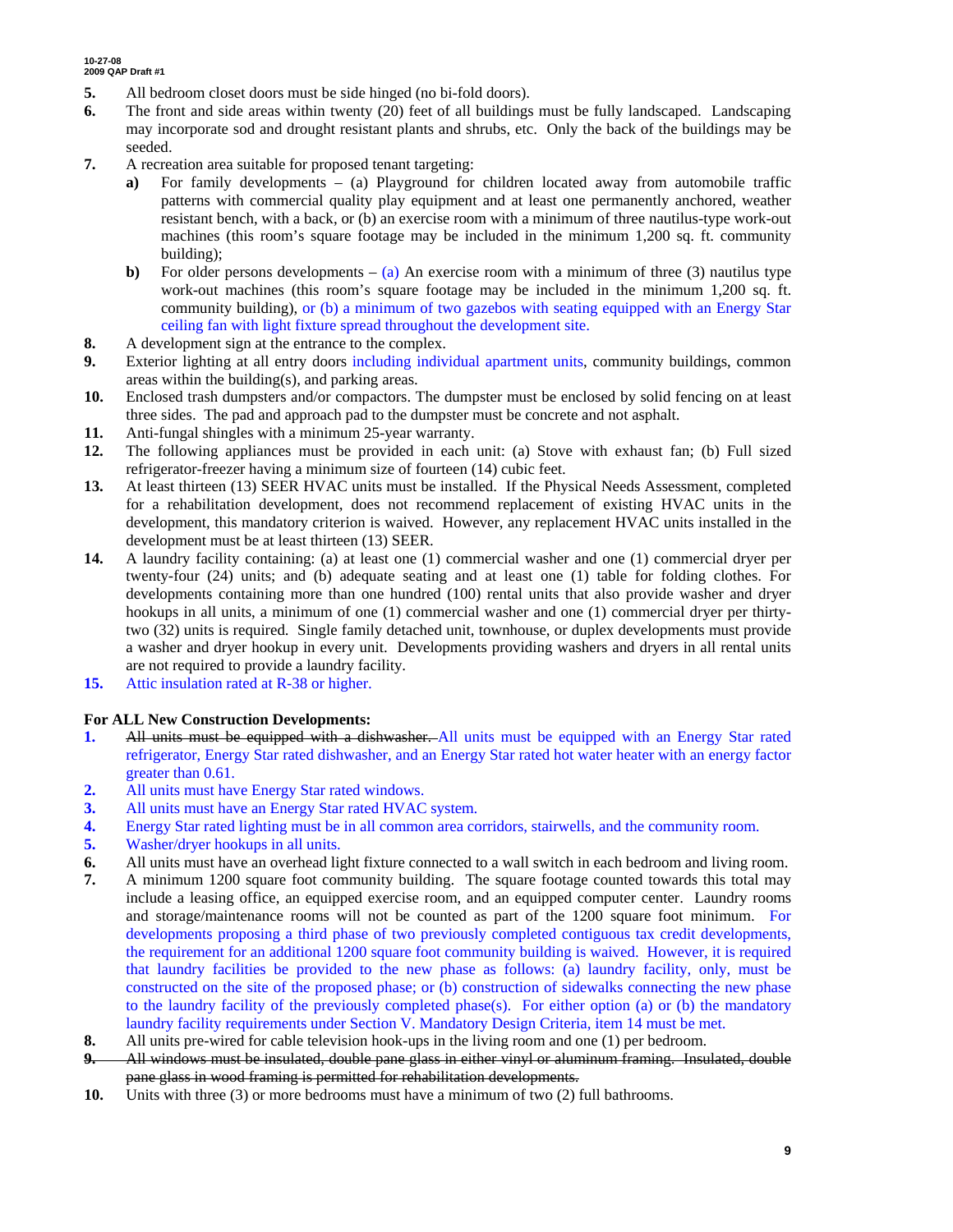- **5.** All bedroom closet doors must be side hinged (no bi-fold doors).
- **6.** The front and side areas within twenty (20) feet of all buildings must be fully landscaped. Landscaping may incorporate sod and drought resistant plants and shrubs, etc. Only the back of the buildings may be seeded.
- **7.** A recreation area suitable for proposed tenant targeting:
	- **a)** For family developments (a) Playground for children located away from automobile traffic patterns with commercial quality play equipment and at least one permanently anchored, weather resistant bench, with a back, or (b) an exercise room with a minimum of three nautilus-type work-out machines (this room's square footage may be included in the minimum 1,200 sq. ft. community building);
	- **b)** For older persons developments  $-$  (a) An exercise room with a minimum of three (3) nautilus type work-out machines (this room's square footage may be included in the minimum 1,200 sq. ft. community building), or (b) a minimum of two gazebos with seating equipped with an Energy Star ceiling fan with light fixture spread throughout the development site.
- **8.** A development sign at the entrance to the complex.
- **9.** Exterior lighting at all entry doors including individual apartment units, community buildings, common areas within the building(s), and parking areas.
- **10.** Enclosed trash dumpsters and/or compactors. The dumpster must be enclosed by solid fencing on at least three sides. The pad and approach pad to the dumpster must be concrete and not asphalt.
- **11.** Anti-fungal shingles with a minimum 25-year warranty.
- **12.** The following appliances must be provided in each unit: (a) Stove with exhaust fan; (b) Full sized refrigerator-freezer having a minimum size of fourteen (14) cubic feet.
- **13.** At least thirteen (13) SEER HVAC units must be installed. If the Physical Needs Assessment, completed for a rehabilitation development, does not recommend replacement of existing HVAC units in the development, this mandatory criterion is waived. However, any replacement HVAC units installed in the development must be at least thirteen (13) SEER.
- **14.** A laundry facility containing: (a) at least one (1) commercial washer and one (1) commercial dryer per twenty-four (24) units; and (b) adequate seating and at least one (1) table for folding clothes. For developments containing more than one hundred (100) rental units that also provide washer and dryer hookups in all units, a minimum of one (1) commercial washer and one (1) commercial dryer per thirtytwo (32) units is required. Single family detached unit, townhouse, or duplex developments must provide a washer and dryer hookup in every unit. Developments providing washers and dryers in all rental units are not required to provide a laundry facility.
- **15.** Attic insulation rated at R-38 or higher.

### **For ALL New Construction Developments:**

- **1.** All units must be equipped with a dishwasher. All units must be equipped with an Energy Star rated refrigerator, Energy Star rated dishwasher, and an Energy Star rated hot water heater with an energy factor greater than 0.61.
- **2.** All units must have Energy Star rated windows.
- **3.** All units must have an Energy Star rated HVAC system.
- **4.** Energy Star rated lighting must be in all common area corridors, stairwells, and the community room.
- **5.** Washer/dryer hookups in all units.
- **6.** All units must have an overhead light fixture connected to a wall switch in each bedroom and living room.
- **7.** A minimum 1200 square foot community building. The square footage counted towards this total may include a leasing office, an equipped exercise room, and an equipped computer center. Laundry rooms and storage/maintenance rooms will not be counted as part of the 1200 square foot minimum. For developments proposing a third phase of two previously completed contiguous tax credit developments, the requirement for an additional 1200 square foot community building is waived. However, it is required that laundry facilities be provided to the new phase as follows: (a) laundry facility, only, must be constructed on the site of the proposed phase; or (b) construction of sidewalks connecting the new phase to the laundry facility of the previously completed phase(s). For either option (a) or (b) the mandatory laundry facility requirements under Section V. Mandatory Design Criteria, item 14 must be met.
- **8.** All units pre-wired for cable television hook-ups in the living room and one (1) per bedroom.
- **9.** All windows must be insulated, double pane glass in either vinyl or aluminum framing. Insulated, double pane glass in wood framing is permitted for rehabilitation developments.
- **10.** Units with three (3) or more bedrooms must have a minimum of two (2) full bathrooms.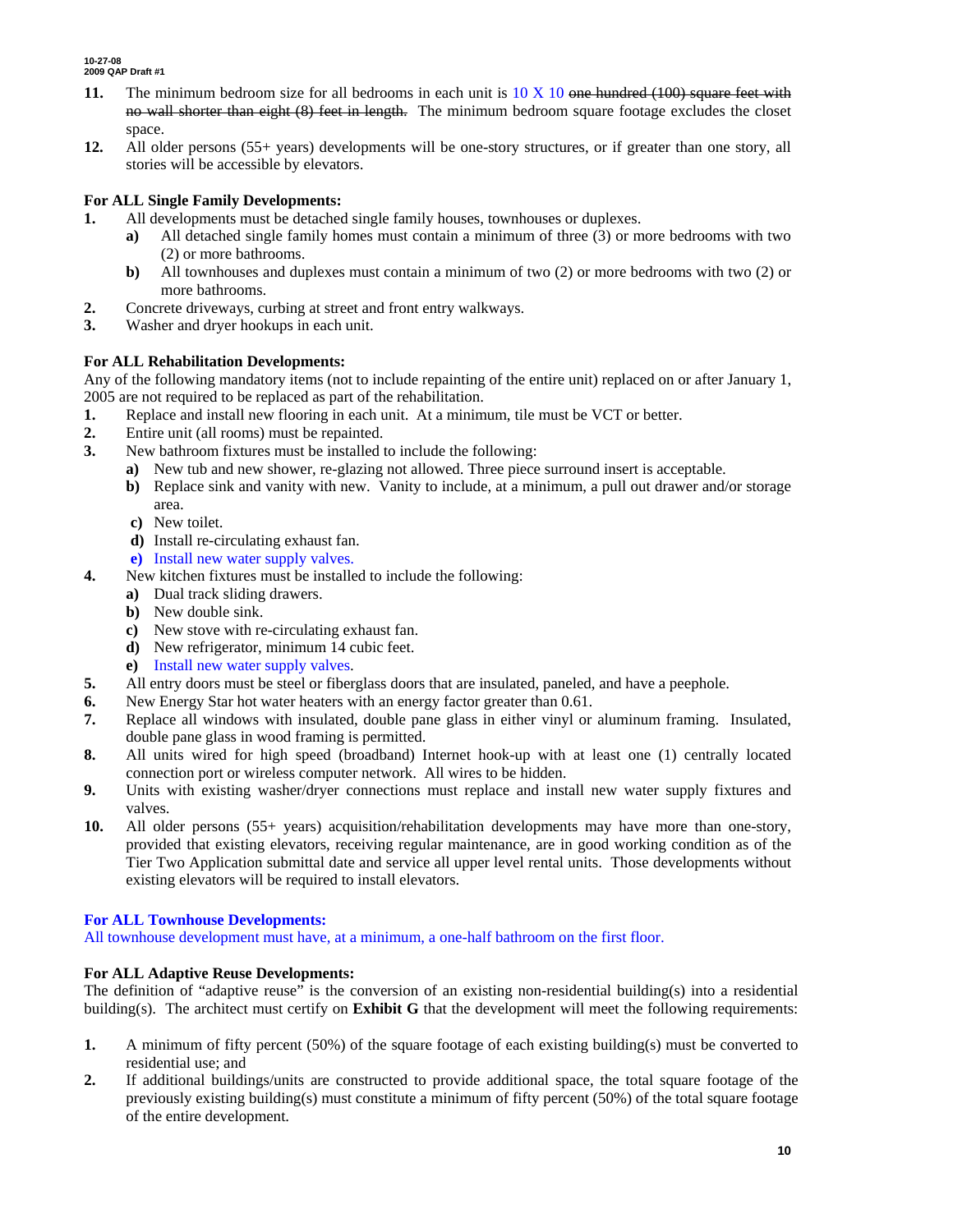- **11.** The minimum bedroom size for all bedrooms in each unit is 10 X 10 one hundred (100) square feet with no wall shorter than eight (8) feet in length. The minimum bedroom square footage excludes the closet space.
- **12.** All older persons (55+ years) developments will be one-story structures, or if greater than one story, all stories will be accessible by elevators.

### **For ALL Single Family Developments:**

- **1.** All developments must be detached single family houses, townhouses or duplexes.
	- **a)** All detached single family homes must contain a minimum of three (3) or more bedrooms with two (2) or more bathrooms.
	- **b)** All townhouses and duplexes must contain a minimum of two (2) or more bedrooms with two (2) or more bathrooms.
- **2.** Concrete driveways, curbing at street and front entry walkways.
- **3.** Washer and dryer hookups in each unit.

### **For ALL Rehabilitation Developments:**

Any of the following mandatory items (not to include repainting of the entire unit) replaced on or after January 1, 2005 are not required to be replaced as part of the rehabilitation.

- **1.** Replace and install new flooring in each unit. At a minimum, tile must be VCT or better.
- **2.** Entire unit (all rooms) must be repainted.
- **3.** New bathroom fixtures must be installed to include the following:
	- **a)** New tub and new shower, re-glazing not allowed. Three piece surround insert is acceptable.
	- **b)** Replace sink and vanity with new. Vanity to include, at a minimum, a pull out drawer and/or storage area.
	- **c)** New toilet.
	- **d)** Install re-circulating exhaust fan.
	- **e)** Install new water supply valves.
- **4.** New kitchen fixtures must be installed to include the following:
	- **a)** Dual track sliding drawers.
	- **b)** New double sink.
	- **c)** New stove with re-circulating exhaust fan.
	- **d)** New refrigerator, minimum 14 cubic feet.
	- **e)** Install new water supply valves.
- **5.** All entry doors must be steel or fiberglass doors that are insulated, paneled, and have a peephole.
- **6.** New Energy Star hot water heaters with an energy factor greater than 0.61.
- **7.** Replace all windows with insulated, double pane glass in either vinyl or aluminum framing. Insulated, double pane glass in wood framing is permitted.
- **8.** All units wired for high speed (broadband) Internet hook-up with at least one (1) centrally located connection port or wireless computer network. All wires to be hidden.
- **9.** Units with existing washer/dryer connections must replace and install new water supply fixtures and valves.
- **10.** All older persons (55+ years) acquisition/rehabilitation developments may have more than one-story, provided that existing elevators, receiving regular maintenance, are in good working condition as of the Tier Two Application submittal date and service all upper level rental units. Those developments without existing elevators will be required to install elevators.

### **For ALL Townhouse Developments:**

All townhouse development must have, at a minimum, a one-half bathroom on the first floor.

### **For ALL Adaptive Reuse Developments:**

The definition of "adaptive reuse" is the conversion of an existing non-residential building(s) into a residential building(s). The architect must certify on **Exhibit G** that the development will meet the following requirements:

- **1.** A minimum of fifty percent (50%) of the square footage of each existing building(s) must be converted to residential use; and
- **2.** If additional buildings/units are constructed to provide additional space, the total square footage of the previously existing building(s) must constitute a minimum of fifty percent (50%) of the total square footage of the entire development.